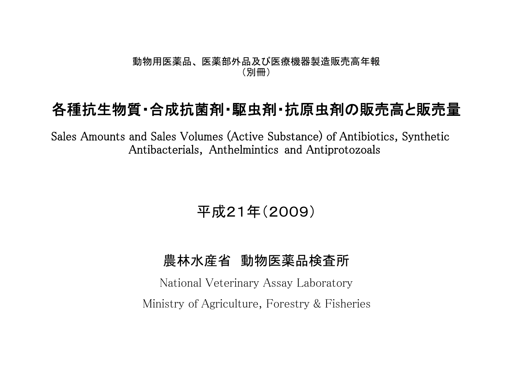## 動物用医薬品、 医薬部外品及び医療機器製造販売高年報 (別冊)

## 各種抗生物質・合成抗菌剤・駆虫剤・抗原虫剤の販売高と販売量

Sales Amounts and Sales Volumes (Active Substance) of Antibiotics, Synthetic Antibacterials, Anthelmintics and Antiprotozoals

平成21年(2009)

## 農林水産省 動物医薬品検査所

National Veterinary Assay Laboratory Ministry of Agriculture, Forestry & Fisheries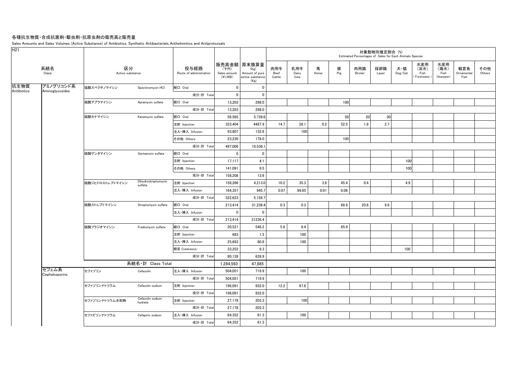## 各種抗生物質・合成抗菌剤・駆虫剤・抗原虫剤の販売高と販売量

Sales Amounts and Sales Volumes (Active Substance) of Antibiotics, Synthetic Antibacterials, Anthelmintics and Antiprotozoals

| 販売高金額 原末換算量<br>水産用<br>水産用<br>系統名<br>区分<br>投与経路<br>肉用牛<br>乳用牛<br>馬<br>豚<br>肉用鶏<br>採卵鶏<br>犬・猫<br>(海水)<br>観賞魚<br>その他<br>(淡水)<br>(千円)<br>(Kg)<br>Class<br>Active substance<br>Pig<br>Others<br>Route of administration<br>Sales amount<br>Amount of pure<br>Beef<br>Dairy<br>Horse<br>Broiler<br>Dog/Cat<br>Fish<br>Fish<br>Ornamental<br>Layer<br>$(*1,000)$<br>active substance<br>Cattle<br>Freshwater)<br>(Seawater)<br>Fish<br>Cow<br>(Kg)<br>アミノグリコシド系<br>塩酸スペクチノマイシン<br>経口 Oral<br>Spectinomycin HCI<br>$\mathbf 0$<br>$\mathbf 0$<br>Antibiotics<br>Aminoglycosides<br>成分·計 Total<br>$\mathbf 0$<br>$\mathbf 0$<br>100<br>経口 Oral<br>13,203<br>298.0<br>硫酸アプラマイシン<br>Apramycin sulfate<br>成分·計 Total<br>13,203<br>298.0<br>56,565<br>5,739.6<br>50<br>20<br>30<br>経口 Oral<br>硫酸カナマイシン<br>Kanamycin sulfate<br>2.7<br>注射 Injection<br>323,404<br>4487.9<br>14.7<br>28.1<br>0.2<br>52.5<br>1.8<br>93,807<br>132.6<br>100<br>注入·挿入 Infusion<br>100<br>23,230<br>178.0<br>その他 Others<br>成分·計 Total<br>497,006<br>10,538.1<br>経口 Oral<br>硫酸ゲンタマイシン<br>$\mathbf 0$<br>$\mathbf 0$<br>Gentamicin sulfate<br>17,117<br>100<br>4.1<br>注射 Injection<br>100<br>141,091<br>9.5<br>その他 Others<br>成分·計 Total<br>158,208<br>13.6<br>Dihydrostreptomycin<br>注射 Injection<br>3.8<br>硫酸ジヒドロストレプトマイシン<br>158,266<br>4,213.0<br>10.2<br>35.3<br>45.4<br>0.4<br>4.9<br>sulfate<br>0.07<br>164,357<br>945.7<br>99.85<br>0.01<br>0.06<br>注入·挿入 Infusion<br>成分·計 Total<br>322,623<br>5,158.7<br>0.3<br>0.3<br>9.9<br>硫酸ストレプトマイシン<br>経口 Oral<br>213,414<br>31,236.4<br>68.9<br>20.6<br>Streptomycin sulfate<br>$\mathbf{0}$<br>$\mathbf 0$<br>注入·挿入 Infusion<br>成分·計 Total<br>213,414<br>31236.4<br>経口 Oral<br>548.2<br>5.6<br>8.4<br>85.9<br>硫酸フラジオマイシン<br>20,521<br>Fradiomycin sulfate<br>683<br>1.5<br>100<br>注射 Injection<br>80.8<br>100<br>注入·挿入 Infusion<br>25,683<br>9.3<br>100<br>経皮 Cutaneous<br>33,252<br>成分·計 Total<br>639.9<br>80,139<br>系統名·計 Class Total<br>47,885<br>1,284,593<br>セフェム系<br>セファゾリン<br>注入·挿入 Infusion<br>719.9<br>100<br>Cefazolin<br>504,051<br>Cephalosporins<br>成分·計 Total<br>504,051<br>719.9<br>12.2<br>87.8<br>196,091<br>932.0<br>セファゾリンナトリウム<br>Cefazolin sodium<br>注射 Injection<br>成分·計 Total<br>932.0<br>196,091<br>Cefazolin sodium<br>100<br>203.3<br>セファゾリンナトリウム水和物<br>注射 Injection<br>27,178<br>hydrate<br>成分·計 Total<br>27,178<br>203.3<br>セファピリンナトリウム<br>61.3<br>100<br>Cefapirin sodium<br>注入·挿入 Infusion<br>64,352<br>成分·計 Total<br>64,352<br>61.3 | H <sub>21</sub> |  |  |  |  |  | 対象動物別推定割合 (%) | Estimated Percentages of Sales for Each Animals Species |  |  |
|-------------------------------------------------------------------------------------------------------------------------------------------------------------------------------------------------------------------------------------------------------------------------------------------------------------------------------------------------------------------------------------------------------------------------------------------------------------------------------------------------------------------------------------------------------------------------------------------------------------------------------------------------------------------------------------------------------------------------------------------------------------------------------------------------------------------------------------------------------------------------------------------------------------------------------------------------------------------------------------------------------------------------------------------------------------------------------------------------------------------------------------------------------------------------------------------------------------------------------------------------------------------------------------------------------------------------------------------------------------------------------------------------------------------------------------------------------------------------------------------------------------------------------------------------------------------------------------------------------------------------------------------------------------------------------------------------------------------------------------------------------------------------------------------------------------------------------------------------------------------------------------------------------------------------------------------------------------------------------------------------------------------------------------------------------------------------------------------------------------------------------------------------------------------------------------------------------------------------------------------------------------------------------------------------------------------------------------------------------------------------------------------------------------------------------------------------------------------------------|-----------------|--|--|--|--|--|---------------|---------------------------------------------------------|--|--|
| 抗生物質                                                                                                                                                                                                                                                                                                                                                                                                                                                                                                                                                                                                                                                                                                                                                                                                                                                                                                                                                                                                                                                                                                                                                                                                                                                                                                                                                                                                                                                                                                                                                                                                                                                                                                                                                                                                                                                                                                                                                                                                                                                                                                                                                                                                                                                                                                                                                                                                                                                                          |                 |  |  |  |  |  |               |                                                         |  |  |
|                                                                                                                                                                                                                                                                                                                                                                                                                                                                                                                                                                                                                                                                                                                                                                                                                                                                                                                                                                                                                                                                                                                                                                                                                                                                                                                                                                                                                                                                                                                                                                                                                                                                                                                                                                                                                                                                                                                                                                                                                                                                                                                                                                                                                                                                                                                                                                                                                                                                               |                 |  |  |  |  |  |               |                                                         |  |  |
|                                                                                                                                                                                                                                                                                                                                                                                                                                                                                                                                                                                                                                                                                                                                                                                                                                                                                                                                                                                                                                                                                                                                                                                                                                                                                                                                                                                                                                                                                                                                                                                                                                                                                                                                                                                                                                                                                                                                                                                                                                                                                                                                                                                                                                                                                                                                                                                                                                                                               |                 |  |  |  |  |  |               |                                                         |  |  |
|                                                                                                                                                                                                                                                                                                                                                                                                                                                                                                                                                                                                                                                                                                                                                                                                                                                                                                                                                                                                                                                                                                                                                                                                                                                                                                                                                                                                                                                                                                                                                                                                                                                                                                                                                                                                                                                                                                                                                                                                                                                                                                                                                                                                                                                                                                                                                                                                                                                                               |                 |  |  |  |  |  |               |                                                         |  |  |
|                                                                                                                                                                                                                                                                                                                                                                                                                                                                                                                                                                                                                                                                                                                                                                                                                                                                                                                                                                                                                                                                                                                                                                                                                                                                                                                                                                                                                                                                                                                                                                                                                                                                                                                                                                                                                                                                                                                                                                                                                                                                                                                                                                                                                                                                                                                                                                                                                                                                               |                 |  |  |  |  |  |               |                                                         |  |  |
|                                                                                                                                                                                                                                                                                                                                                                                                                                                                                                                                                                                                                                                                                                                                                                                                                                                                                                                                                                                                                                                                                                                                                                                                                                                                                                                                                                                                                                                                                                                                                                                                                                                                                                                                                                                                                                                                                                                                                                                                                                                                                                                                                                                                                                                                                                                                                                                                                                                                               |                 |  |  |  |  |  |               |                                                         |  |  |
|                                                                                                                                                                                                                                                                                                                                                                                                                                                                                                                                                                                                                                                                                                                                                                                                                                                                                                                                                                                                                                                                                                                                                                                                                                                                                                                                                                                                                                                                                                                                                                                                                                                                                                                                                                                                                                                                                                                                                                                                                                                                                                                                                                                                                                                                                                                                                                                                                                                                               |                 |  |  |  |  |  |               |                                                         |  |  |
|                                                                                                                                                                                                                                                                                                                                                                                                                                                                                                                                                                                                                                                                                                                                                                                                                                                                                                                                                                                                                                                                                                                                                                                                                                                                                                                                                                                                                                                                                                                                                                                                                                                                                                                                                                                                                                                                                                                                                                                                                                                                                                                                                                                                                                                                                                                                                                                                                                                                               |                 |  |  |  |  |  |               |                                                         |  |  |
|                                                                                                                                                                                                                                                                                                                                                                                                                                                                                                                                                                                                                                                                                                                                                                                                                                                                                                                                                                                                                                                                                                                                                                                                                                                                                                                                                                                                                                                                                                                                                                                                                                                                                                                                                                                                                                                                                                                                                                                                                                                                                                                                                                                                                                                                                                                                                                                                                                                                               |                 |  |  |  |  |  |               |                                                         |  |  |
|                                                                                                                                                                                                                                                                                                                                                                                                                                                                                                                                                                                                                                                                                                                                                                                                                                                                                                                                                                                                                                                                                                                                                                                                                                                                                                                                                                                                                                                                                                                                                                                                                                                                                                                                                                                                                                                                                                                                                                                                                                                                                                                                                                                                                                                                                                                                                                                                                                                                               |                 |  |  |  |  |  |               |                                                         |  |  |
|                                                                                                                                                                                                                                                                                                                                                                                                                                                                                                                                                                                                                                                                                                                                                                                                                                                                                                                                                                                                                                                                                                                                                                                                                                                                                                                                                                                                                                                                                                                                                                                                                                                                                                                                                                                                                                                                                                                                                                                                                                                                                                                                                                                                                                                                                                                                                                                                                                                                               |                 |  |  |  |  |  |               |                                                         |  |  |
|                                                                                                                                                                                                                                                                                                                                                                                                                                                                                                                                                                                                                                                                                                                                                                                                                                                                                                                                                                                                                                                                                                                                                                                                                                                                                                                                                                                                                                                                                                                                                                                                                                                                                                                                                                                                                                                                                                                                                                                                                                                                                                                                                                                                                                                                                                                                                                                                                                                                               |                 |  |  |  |  |  |               |                                                         |  |  |
|                                                                                                                                                                                                                                                                                                                                                                                                                                                                                                                                                                                                                                                                                                                                                                                                                                                                                                                                                                                                                                                                                                                                                                                                                                                                                                                                                                                                                                                                                                                                                                                                                                                                                                                                                                                                                                                                                                                                                                                                                                                                                                                                                                                                                                                                                                                                                                                                                                                                               |                 |  |  |  |  |  |               |                                                         |  |  |
|                                                                                                                                                                                                                                                                                                                                                                                                                                                                                                                                                                                                                                                                                                                                                                                                                                                                                                                                                                                                                                                                                                                                                                                                                                                                                                                                                                                                                                                                                                                                                                                                                                                                                                                                                                                                                                                                                                                                                                                                                                                                                                                                                                                                                                                                                                                                                                                                                                                                               |                 |  |  |  |  |  |               |                                                         |  |  |
|                                                                                                                                                                                                                                                                                                                                                                                                                                                                                                                                                                                                                                                                                                                                                                                                                                                                                                                                                                                                                                                                                                                                                                                                                                                                                                                                                                                                                                                                                                                                                                                                                                                                                                                                                                                                                                                                                                                                                                                                                                                                                                                                                                                                                                                                                                                                                                                                                                                                               |                 |  |  |  |  |  |               |                                                         |  |  |
|                                                                                                                                                                                                                                                                                                                                                                                                                                                                                                                                                                                                                                                                                                                                                                                                                                                                                                                                                                                                                                                                                                                                                                                                                                                                                                                                                                                                                                                                                                                                                                                                                                                                                                                                                                                                                                                                                                                                                                                                                                                                                                                                                                                                                                                                                                                                                                                                                                                                               |                 |  |  |  |  |  |               |                                                         |  |  |
|                                                                                                                                                                                                                                                                                                                                                                                                                                                                                                                                                                                                                                                                                                                                                                                                                                                                                                                                                                                                                                                                                                                                                                                                                                                                                                                                                                                                                                                                                                                                                                                                                                                                                                                                                                                                                                                                                                                                                                                                                                                                                                                                                                                                                                                                                                                                                                                                                                                                               |                 |  |  |  |  |  |               |                                                         |  |  |
|                                                                                                                                                                                                                                                                                                                                                                                                                                                                                                                                                                                                                                                                                                                                                                                                                                                                                                                                                                                                                                                                                                                                                                                                                                                                                                                                                                                                                                                                                                                                                                                                                                                                                                                                                                                                                                                                                                                                                                                                                                                                                                                                                                                                                                                                                                                                                                                                                                                                               |                 |  |  |  |  |  |               |                                                         |  |  |
|                                                                                                                                                                                                                                                                                                                                                                                                                                                                                                                                                                                                                                                                                                                                                                                                                                                                                                                                                                                                                                                                                                                                                                                                                                                                                                                                                                                                                                                                                                                                                                                                                                                                                                                                                                                                                                                                                                                                                                                                                                                                                                                                                                                                                                                                                                                                                                                                                                                                               |                 |  |  |  |  |  |               |                                                         |  |  |
|                                                                                                                                                                                                                                                                                                                                                                                                                                                                                                                                                                                                                                                                                                                                                                                                                                                                                                                                                                                                                                                                                                                                                                                                                                                                                                                                                                                                                                                                                                                                                                                                                                                                                                                                                                                                                                                                                                                                                                                                                                                                                                                                                                                                                                                                                                                                                                                                                                                                               |                 |  |  |  |  |  |               |                                                         |  |  |
|                                                                                                                                                                                                                                                                                                                                                                                                                                                                                                                                                                                                                                                                                                                                                                                                                                                                                                                                                                                                                                                                                                                                                                                                                                                                                                                                                                                                                                                                                                                                                                                                                                                                                                                                                                                                                                                                                                                                                                                                                                                                                                                                                                                                                                                                                                                                                                                                                                                                               |                 |  |  |  |  |  |               |                                                         |  |  |
|                                                                                                                                                                                                                                                                                                                                                                                                                                                                                                                                                                                                                                                                                                                                                                                                                                                                                                                                                                                                                                                                                                                                                                                                                                                                                                                                                                                                                                                                                                                                                                                                                                                                                                                                                                                                                                                                                                                                                                                                                                                                                                                                                                                                                                                                                                                                                                                                                                                                               |                 |  |  |  |  |  |               |                                                         |  |  |
|                                                                                                                                                                                                                                                                                                                                                                                                                                                                                                                                                                                                                                                                                                                                                                                                                                                                                                                                                                                                                                                                                                                                                                                                                                                                                                                                                                                                                                                                                                                                                                                                                                                                                                                                                                                                                                                                                                                                                                                                                                                                                                                                                                                                                                                                                                                                                                                                                                                                               |                 |  |  |  |  |  |               |                                                         |  |  |
|                                                                                                                                                                                                                                                                                                                                                                                                                                                                                                                                                                                                                                                                                                                                                                                                                                                                                                                                                                                                                                                                                                                                                                                                                                                                                                                                                                                                                                                                                                                                                                                                                                                                                                                                                                                                                                                                                                                                                                                                                                                                                                                                                                                                                                                                                                                                                                                                                                                                               |                 |  |  |  |  |  |               |                                                         |  |  |
|                                                                                                                                                                                                                                                                                                                                                                                                                                                                                                                                                                                                                                                                                                                                                                                                                                                                                                                                                                                                                                                                                                                                                                                                                                                                                                                                                                                                                                                                                                                                                                                                                                                                                                                                                                                                                                                                                                                                                                                                                                                                                                                                                                                                                                                                                                                                                                                                                                                                               |                 |  |  |  |  |  |               |                                                         |  |  |
|                                                                                                                                                                                                                                                                                                                                                                                                                                                                                                                                                                                                                                                                                                                                                                                                                                                                                                                                                                                                                                                                                                                                                                                                                                                                                                                                                                                                                                                                                                                                                                                                                                                                                                                                                                                                                                                                                                                                                                                                                                                                                                                                                                                                                                                                                                                                                                                                                                                                               |                 |  |  |  |  |  |               |                                                         |  |  |
|                                                                                                                                                                                                                                                                                                                                                                                                                                                                                                                                                                                                                                                                                                                                                                                                                                                                                                                                                                                                                                                                                                                                                                                                                                                                                                                                                                                                                                                                                                                                                                                                                                                                                                                                                                                                                                                                                                                                                                                                                                                                                                                                                                                                                                                                                                                                                                                                                                                                               |                 |  |  |  |  |  |               |                                                         |  |  |
|                                                                                                                                                                                                                                                                                                                                                                                                                                                                                                                                                                                                                                                                                                                                                                                                                                                                                                                                                                                                                                                                                                                                                                                                                                                                                                                                                                                                                                                                                                                                                                                                                                                                                                                                                                                                                                                                                                                                                                                                                                                                                                                                                                                                                                                                                                                                                                                                                                                                               |                 |  |  |  |  |  |               |                                                         |  |  |
|                                                                                                                                                                                                                                                                                                                                                                                                                                                                                                                                                                                                                                                                                                                                                                                                                                                                                                                                                                                                                                                                                                                                                                                                                                                                                                                                                                                                                                                                                                                                                                                                                                                                                                                                                                                                                                                                                                                                                                                                                                                                                                                                                                                                                                                                                                                                                                                                                                                                               |                 |  |  |  |  |  |               |                                                         |  |  |
|                                                                                                                                                                                                                                                                                                                                                                                                                                                                                                                                                                                                                                                                                                                                                                                                                                                                                                                                                                                                                                                                                                                                                                                                                                                                                                                                                                                                                                                                                                                                                                                                                                                                                                                                                                                                                                                                                                                                                                                                                                                                                                                                                                                                                                                                                                                                                                                                                                                                               |                 |  |  |  |  |  |               |                                                         |  |  |
|                                                                                                                                                                                                                                                                                                                                                                                                                                                                                                                                                                                                                                                                                                                                                                                                                                                                                                                                                                                                                                                                                                                                                                                                                                                                                                                                                                                                                                                                                                                                                                                                                                                                                                                                                                                                                                                                                                                                                                                                                                                                                                                                                                                                                                                                                                                                                                                                                                                                               |                 |  |  |  |  |  |               |                                                         |  |  |
|                                                                                                                                                                                                                                                                                                                                                                                                                                                                                                                                                                                                                                                                                                                                                                                                                                                                                                                                                                                                                                                                                                                                                                                                                                                                                                                                                                                                                                                                                                                                                                                                                                                                                                                                                                                                                                                                                                                                                                                                                                                                                                                                                                                                                                                                                                                                                                                                                                                                               |                 |  |  |  |  |  |               |                                                         |  |  |
|                                                                                                                                                                                                                                                                                                                                                                                                                                                                                                                                                                                                                                                                                                                                                                                                                                                                                                                                                                                                                                                                                                                                                                                                                                                                                                                                                                                                                                                                                                                                                                                                                                                                                                                                                                                                                                                                                                                                                                                                                                                                                                                                                                                                                                                                                                                                                                                                                                                                               |                 |  |  |  |  |  |               |                                                         |  |  |
|                                                                                                                                                                                                                                                                                                                                                                                                                                                                                                                                                                                                                                                                                                                                                                                                                                                                                                                                                                                                                                                                                                                                                                                                                                                                                                                                                                                                                                                                                                                                                                                                                                                                                                                                                                                                                                                                                                                                                                                                                                                                                                                                                                                                                                                                                                                                                                                                                                                                               |                 |  |  |  |  |  |               |                                                         |  |  |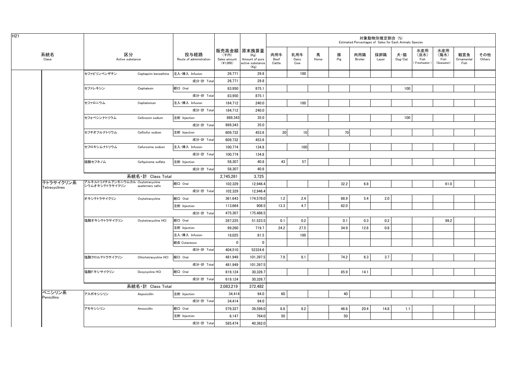|                            |                                                     |                       |                                 |                                  |                                                                   |                       |                     |            |          | Estimated Percentages of Sales for Each Animals Species | 対象動物別推定割合 (%) |                |                                    |                                   |                           |               |
|----------------------------|-----------------------------------------------------|-----------------------|---------------------------------|----------------------------------|-------------------------------------------------------------------|-----------------------|---------------------|------------|----------|---------------------------------------------------------|---------------|----------------|------------------------------------|-----------------------------------|---------------------------|---------------|
| 系統名<br>Class               | 区分<br>Active substance                              |                       | 投与経路<br>Route of administration | (千円)<br>Sales amount<br>(41,000) | 販売高金額 原末換算量<br>(Kg)<br>Amount of pure<br>active substance<br>(Kg) | 肉用牛<br>Beef<br>Cattle | 乳用牛<br>Dairy<br>Cow | 馬<br>Horse | 豚<br>Pig | 肉用鶏<br>Broiler                                          | 採卵鶏<br>Layer  | 犬・猫<br>Dog/Cat | 水産用<br>(淡水)<br>Fish<br>Freshwater) | 水産用<br>(海水)<br>Fish<br>(Seawater) | 観賞魚<br>Ornamental<br>Fish | その他<br>Others |
|                            | セファピリンベンザチン                                         | Cephapirin benzathine | 注入·挿入 Infusion                  | 26,771                           | 29.8                                                              |                       | 100                 |            |          |                                                         |               |                |                                    |                                   |                           |               |
|                            |                                                     |                       | 成分·計 Total                      | 26.771                           | 29.8                                                              |                       |                     |            |          |                                                         |               |                |                                    |                                   |                           |               |
|                            | セファレキシン                                             | Cephalexin            | 経口 Oral                         | 83,950                           | 875.1                                                             |                       |                     |            |          |                                                         |               | 100            |                                    |                                   |                           |               |
|                            |                                                     |                       | 成分·計 Total                      | 83,950                           | 875.1                                                             |                       |                     |            |          |                                                         |               |                |                                    |                                   |                           |               |
|                            | セファロニウム                                             | Cephalonium           | 注入·挿入 Infusion                  | 184,712                          | 240.0                                                             |                       | 100                 |            |          |                                                         |               |                |                                    |                                   |                           |               |
|                            |                                                     |                       | 成分·計 Total                      | 184,712                          | 240.0                                                             |                       |                     |            |          |                                                         |               |                |                                    |                                   |                           |               |
|                            | セフォベシンナトリウム                                         | Cefovecin sodium      | 注射 Injection                    | 889,343                          | 35.0                                                              |                       |                     |            |          |                                                         |               | 100            |                                    |                                   |                           |               |
|                            |                                                     |                       | 成分·計 Total                      | 889,343                          | 35.0                                                              |                       |                     |            |          |                                                         |               |                |                                    |                                   |                           |               |
|                            | セフチオフルナトリウム                                         | Ceftiofur sodium      | 注射 Injection                    | 609,732                          | 453.6                                                             | 20 <sup>1</sup>       | 10 <sup>1</sup>     |            | 70       |                                                         |               |                |                                    |                                   |                           |               |
|                            |                                                     |                       | 成分·計 Total                      | 609,732                          | 453.6                                                             |                       |                     |            |          |                                                         |               |                |                                    |                                   |                           |               |
|                            | セフロキシムナトリウム                                         | Cefuroxime sodium     | 注入·挿入 Infusion                  | 100,774                          | 134.8                                                             |                       | 100                 |            |          |                                                         |               |                |                                    |                                   |                           |               |
|                            |                                                     |                       | 成分·計 Total                      | 100,774                          | 134.8                                                             |                       |                     |            |          |                                                         |               |                |                                    |                                   |                           |               |
|                            | 硫酸セフキノム                                             | Cefquinome sulfate    | 注射 Injection                    | 58,307                           | 40.8                                                              | 43                    | 57                  |            |          |                                                         |               |                |                                    |                                   |                           |               |
|                            |                                                     |                       | 成分·計 Total                      | 58,307                           | 40.8                                                              |                       |                     |            |          |                                                         |               |                |                                    |                                   |                           |               |
|                            |                                                     | 系統名・計 Class Total     |                                 | 2,745,261                        | 3,725                                                             |                       |                     |            |          |                                                         |               |                |                                    |                                   |                           |               |
| テトラサイクリン系<br>Tetracyclines | アルキルトリメチルアンモニウムカル Oxytetracycline<br>シウムオキシテトラサイクリン | quaternary salts      | 経口 Oral                         | 102.329                          | 12.946.4                                                          |                       |                     |            | 32.2     | 6.8                                                     |               |                |                                    | 61.0                              |                           |               |
|                            |                                                     |                       | 成分·計 Total                      | 102,329                          | 12,946.4                                                          |                       |                     |            |          |                                                         |               |                |                                    |                                   |                           |               |
|                            | オキシテトラサイクリン                                         | Oxytetracycline       | 経口 Oral                         | 361,643                          | 174,578.0                                                         | 1.2                   | 2.4                 |            | 88.9     | 5.4                                                     | 2.0           |                |                                    |                                   |                           |               |
|                            |                                                     |                       | 注射 Injection                    | 113,664                          | 908.5                                                             | 13.3                  | 4.7                 |            | 82.0     |                                                         |               |                |                                    |                                   |                           |               |
|                            |                                                     |                       | 成分·計 Total                      | 475,307                          | 175,486.5                                                         |                       |                     |            |          |                                                         |               |                |                                    |                                   |                           |               |
|                            | 塩酸オキシテトラサイクリン                                       | Oxytetracycline HCI   | 経口 Oral                         | 287,225                          | 51,523.5                                                          | 0.1                   | 0.2                 |            | 0.1      | 0.3                                                     | 0.2           |                |                                    | 99.2                              |                           |               |
|                            |                                                     |                       | 注射 Injection                    | 99,260                           | 719.7                                                             | 24.2                  | 27.5                |            | 34.9     | 12.6                                                    | 0.8           |                |                                    |                                   |                           |               |
|                            |                                                     |                       | 注入·挿入 Infusion                  | 18,025                           | 81.5                                                              |                       | 100                 |            |          |                                                         |               |                |                                    |                                   |                           |               |
|                            |                                                     |                       | 経皮 Cutaneous                    | $\mathbf 0$                      | $\mathbf 0$                                                       |                       |                     |            |          |                                                         |               |                |                                    |                                   |                           |               |
|                            |                                                     |                       | 成分·計 Total                      | 404,510                          | 52324.6                                                           |                       |                     |            |          |                                                         |               |                |                                    |                                   |                           |               |
|                            | 塩酸クロルテトラサイクリン                                       | Chlortetracycline HCI | 経口 Oral                         | 481,949                          | 101,397.5                                                         | 7.9                   | 8.1                 |            | 74.2     | 6.3                                                     | 3.7           |                |                                    |                                   |                           |               |
|                            |                                                     |                       | 成分·計 Total                      | 481,949                          | 101,397.5                                                         |                       |                     |            |          |                                                         |               |                |                                    |                                   |                           |               |
|                            | 塩酸ドキシサイクリン                                          | Doxycycline HCI       | 経口 Oral                         | 619,124                          | 30,326.7                                                          |                       |                     |            | 85.9     | 14.1                                                    |               |                |                                    |                                   |                           |               |
|                            |                                                     |                       | 成分·計 Total                      | 619,124                          | 30,326.7                                                          |                       |                     |            |          |                                                         |               |                |                                    |                                   |                           |               |
|                            |                                                     | 系統名・計 Class Total     |                                 | 2,083,219                        | 372,482                                                           |                       |                     |            |          |                                                         |               |                |                                    |                                   |                           |               |
| ペニシリン系<br>Penicillins      | アスポキシシリン                                            | Aspoxicillin          | 注射 Injection                    | 34,414                           | 94.0                                                              | 60                    |                     |            | 40       |                                                         |               |                |                                    |                                   |                           |               |
|                            |                                                     |                       | 成分·計 Total                      | 34,414                           | 94.0                                                              |                       |                     |            |          |                                                         |               |                |                                    |                                   |                           |               |
|                            | アモキシシリン                                             | Amoxicillin           | 経口 Oral                         | 579,327                          | 39,598.0                                                          | 8.8                   | 8.2                 |            | 46.6     | 20.4                                                    | 14.8          | 1.1            |                                    |                                   |                           |               |
|                            |                                                     |                       | 注射 Injection                    | 6,147                            | 764.0                                                             | 50                    |                     |            | 50       |                                                         |               |                |                                    |                                   |                           |               |
|                            |                                                     |                       | 成分·計 Total                      | 585,474                          | 40,362.0                                                          |                       |                     |            |          |                                                         |               |                |                                    |                                   |                           |               |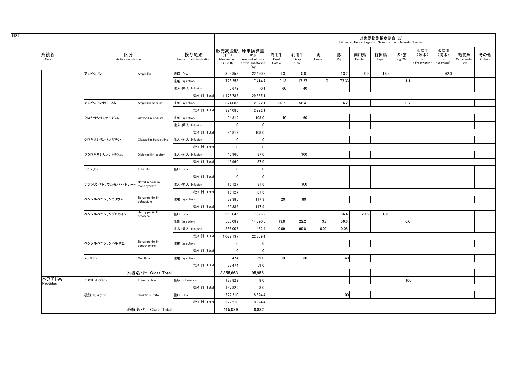|                   |                        |                                 |                                 |                                    |                                                                     |                       |                     |            |          | Estimated Percentages of Sales for Each Animals Species | 対象動物別推定割合 (%) |                                    |                                    |                                   |                           |               |
|-------------------|------------------------|---------------------------------|---------------------------------|------------------------------------|---------------------------------------------------------------------|-----------------------|---------------------|------------|----------|---------------------------------------------------------|---------------|------------------------------------|------------------------------------|-----------------------------------|---------------------------|---------------|
| 系統名<br>Class      | 区分<br>Active substance |                                 | 投与経路<br>Route of administration | (千円)<br>Sales amount<br>$(*1,000)$ | 販売高金額   原末換算量<br>(Kg)<br>Amount of pure<br>active substance<br>(Kg) | 肉用牛<br>Beef<br>Cattle | 乳用牛<br>Dairy<br>Cow | 馬<br>Horse | 豚<br>Pig | 肉用鶏<br>Broiler                                          | 採卵鶏<br>Layer  | 犬・猫<br>$\mathsf{Dog}/\mathsf{Cat}$ | 水産用<br>(淡水)<br>Fish<br>Freshwater) | 水産用<br>(海水)<br>Fish<br>(Seawater) | 観賞魚<br>Ornamental<br>Fish | その他<br>Others |
|                   | アンピシリン                 | Ampicillin                      | 経口 Oral                         | 395,858                            | 22,450.3                                                            | 1.3                   | 0.8                 |            | 13.2     | 6.9                                                     | 15.5          |                                    |                                    | 62.3                              |                           |               |
|                   |                        |                                 | 注射 Injection                    | 775,258                            | 7,414.7                                                             | 9.13                  | 17.27               |            | 73.33    |                                                         |               | 1.1                                |                                    |                                   |                           |               |
|                   |                        |                                 | 注入·挿入 Infusion                  | 5,672                              | 0.1                                                                 | 60                    | 40                  |            |          |                                                         |               |                                    |                                    |                                   |                           |               |
|                   |                        |                                 | 成分·計 Total                      | 1,176,788                          | 29,865.1                                                            |                       |                     |            |          |                                                         |               |                                    |                                    |                                   |                           |               |
|                   | アンピシリンナトリウム            | Ampicillin sodium               | 注射 Injection                    | 324,085                            | 2,922.1                                                             | 36.7                  | 56.4                |            | 6.2      |                                                         |               | 0.7                                |                                    |                                   |                           |               |
|                   |                        |                                 | 成分·計 Total                      | 324,085                            | 2,922.1                                                             |                       |                     |            |          |                                                         |               |                                    |                                    |                                   |                           |               |
|                   | クロキサシリンナトリウム           | Cloxacillin sodium              | 注射 Injection                    | 24,819                             | 108.0                                                               | 40                    | 60                  |            |          |                                                         |               |                                    |                                    |                                   |                           |               |
|                   |                        |                                 | 注入·挿入 Infusion                  | $\mathbf 0$                        | 0                                                                   |                       |                     |            |          |                                                         |               |                                    |                                    |                                   |                           |               |
|                   |                        |                                 | 成分·計 Total                      | 24,819                             | 108.0                                                               |                       |                     |            |          |                                                         |               |                                    |                                    |                                   |                           |               |
|                   | クロキサシリンベンザチン           | Cloxacillin benzathine          | 注入·挿入 Infusion                  | $\mathbf 0$                        | 0                                                                   |                       |                     |            |          |                                                         |               |                                    |                                    |                                   |                           |               |
|                   |                        |                                 | 成分·計 Total                      | $\mathbf 0$                        | $\mathbf 0$                                                         |                       |                     |            |          |                                                         |               |                                    |                                    |                                   |                           |               |
|                   | ジクロキサシリンナトリウム          | Dicloxacillin sodium            | 注入·挿入 Infusion                  | 45,960                             | 87.0                                                                |                       | 100                 |            |          |                                                         |               |                                    |                                    |                                   |                           |               |
|                   |                        |                                 | 成分·計 Total                      | 45,960                             | 87.0                                                                |                       |                     |            |          |                                                         |               |                                    |                                    |                                   |                           |               |
|                   | トビシリン                  | Tobicillin                      | 経口 Oral                         | $\mathbf{0}$                       | 0                                                                   |                       |                     |            |          |                                                         |               |                                    |                                    |                                   |                           |               |
|                   |                        |                                 | 成分·計 Total                      | 0                                  | 0                                                                   |                       |                     |            |          |                                                         |               |                                    |                                    |                                   |                           |               |
|                   | ナフシリンナトリウムモノハイドレー      | Nafcillin sodium<br>monohydrate | 注入·挿入 Infusion<br>成分·計 Total    | 16,127                             | 31.6                                                                |                       | 100                 |            |          |                                                         |               |                                    |                                    |                                   |                           |               |
|                   |                        | Benzylpenicillin<br>potassium   |                                 | 16,127                             | 31.6                                                                |                       |                     |            |          |                                                         |               |                                    |                                    |                                   |                           |               |
|                   | ベンジルペニシリンカリウム          |                                 | 注射 Injection                    | 32,385                             | 117.9                                                               | 20                    | 80                  |            |          |                                                         |               |                                    |                                    |                                   |                           |               |
|                   |                        |                                 | 成分·計 Total                      | 32,385                             | 117.9                                                               |                       |                     |            |          |                                                         |               |                                    |                                    |                                   |                           |               |
|                   | ベンジルペニシリンプロカイン         | Benzylpenicillin<br>procaine    | 経口 Oral                         | 260,045                            | 7,326.2                                                             |                       |                     |            | 66.4     | 20.6                                                    | 13.0          |                                    |                                    |                                   |                           |               |
|                   |                        |                                 | 注射 Injection                    | 556,089                            | 14,520.5                                                            | 13.8                  | 22.2                | 3.8        | 59.6     |                                                         |               | 0.6                                |                                    |                                   |                           |               |
|                   |                        |                                 | 注入·挿入 Infusion                  | 266,003                            | 462.4                                                               | 0.09                  | 99.8                | 0.02       | 0.08     |                                                         |               |                                    |                                    |                                   |                           |               |
|                   |                        |                                 | 成分·計 Total                      | 1,082,137                          | 22,309.1                                                            |                       |                     |            |          |                                                         |               |                                    |                                    |                                   |                           |               |
|                   | ベンジルペニシリンベネタミン         | Benzylpenicillin<br>benethamine | 注射 Injection                    | 0                                  | 0                                                                   |                       |                     |            |          |                                                         |               |                                    |                                    |                                   |                           |               |
|                   |                        |                                 | 成分·計 Total                      | $\mathbf{0}$                       | $\mathbf{0}$                                                        |                       |                     |            |          |                                                         |               |                                    |                                    |                                   |                           |               |
|                   | メシリナム                  | Mecillinam                      | 注射 Injection                    | 33,474                             | 59.0                                                                | 30                    | 30                  |            | 40       |                                                         |               |                                    |                                    |                                   |                           |               |
|                   |                        |                                 | 成分·計 Total                      | 33,474                             | 59.0                                                                |                       |                     |            |          |                                                         |               |                                    |                                    |                                   |                           |               |
|                   |                        | 系統名·計 Class Total               |                                 | 3.355.663                          | 95.956                                                              |                       |                     |            |          |                                                         |               |                                    |                                    |                                   |                           |               |
| ペプチド系<br>Peptides | チオストレプトン               | Thiostrepton                    | 経皮 Cutaneous                    | 187,829                            | 8.0                                                                 |                       |                     |            |          |                                                         |               | 100                                |                                    |                                   |                           |               |
|                   |                        |                                 | 成分·計 Total                      | 187,829                            | 8.0                                                                 |                       |                     |            |          |                                                         |               |                                    |                                    |                                   |                           |               |
|                   | 硫酸コリスチン                | Colistin sulfate                | 経口 Oral                         | 227,210                            | 8,824.4                                                             |                       |                     |            | 100      |                                                         |               |                                    |                                    |                                   |                           |               |
|                   |                        |                                 | 成分·計 Total                      | 227,210                            | 8,824.4                                                             |                       |                     |            |          |                                                         |               |                                    |                                    |                                   |                           |               |
|                   |                        | 系統名·計 Class Total               |                                 | 415.039                            | 8,832                                                               |                       |                     |            |          |                                                         |               |                                    |                                    |                                   |                           |               |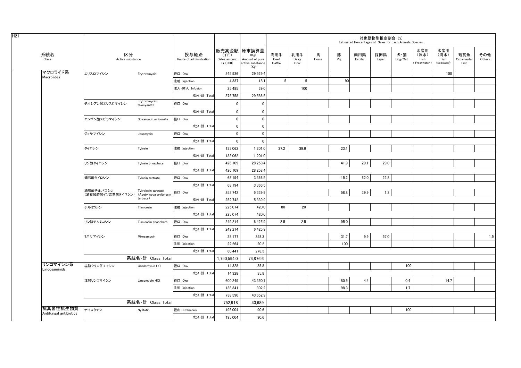|                                    |                                                         |                             |                                 |                                    |                                                                   |                       |                     |            |          | Estimated Percentages of Sales for Each Animals Species | 対象動物別推定割合 (%) |                |                                    |                                   |                           |               |
|------------------------------------|---------------------------------------------------------|-----------------------------|---------------------------------|------------------------------------|-------------------------------------------------------------------|-----------------------|---------------------|------------|----------|---------------------------------------------------------|---------------|----------------|------------------------------------|-----------------------------------|---------------------------|---------------|
| 系統名<br>Class                       | 区分<br>Active substance                                  |                             | 投与経路<br>Route of administration | (千円)<br>Sales amount<br>$(*1,000)$ | 販売高金額 原末換算量<br>(Kg)<br>Amount of pure<br>active substance<br>(Kg) | 肉用牛<br>Beef<br>Cattle | 乳用牛<br>Dairy<br>Cow | 馬<br>Horse | 豚<br>Pig | 肉用鶏<br>Broiler                                          | 採卵鶏<br>Layer  | 犬・猫<br>Dog/Cat | 水産用<br>(淡水)<br>Fish<br>Freshwater) | 水産用<br>(海水)<br>Fish<br>(Seawater) | 観賞魚<br>Ornamental<br>Fish | その他<br>Others |
| マクロライド系<br><b>Macrolides</b>       | エリスロマイシン                                                | Erythromycin                | 経口 Oral                         | 345,936                            | 29,529.4                                                          |                       |                     |            |          |                                                         |               |                |                                    | 100                               |                           |               |
|                                    |                                                         |                             | 注射 Injection                    | 4,337                              | 18.1                                                              | $\overline{5}$        | 5                   |            | 90       |                                                         |               |                |                                    |                                   |                           |               |
|                                    |                                                         |                             | 注入·挿入 Infusion                  | 25,485                             | 39.0                                                              |                       | 100                 |            |          |                                                         |               |                |                                    |                                   |                           |               |
|                                    |                                                         |                             | 成分·計 Total                      | 375,758                            | 29,586.5                                                          |                       |                     |            |          |                                                         |               |                |                                    |                                   |                           |               |
|                                    | チオシアン酸エリスロマイシン                                          | Erythromycin<br>thiocyanate | 経口 Oral                         | $\overline{0}$                     | $\mathbf 0$                                                       |                       |                     |            |          |                                                         |               |                |                                    |                                   |                           |               |
|                                    |                                                         |                             | 成分·計 Total                      | $\mathbf 0$                        | $\mathbf 0$                                                       |                       |                     |            |          |                                                         |               |                |                                    |                                   |                           |               |
|                                    | エンボン酸スピラマイシン                                            | Spiramycin embonate         | 経口 Oral                         | $\overline{\mathbf{0}}$            | $\mathbf 0$                                                       |                       |                     |            |          |                                                         |               |                |                                    |                                   |                           |               |
|                                    |                                                         |                             | 成分·計 Total                      | $\mathbf 0$                        | $\mathbf 0$                                                       |                       |                     |            |          |                                                         |               |                |                                    |                                   |                           |               |
|                                    | ジョサマイシン                                                 | Josamycin                   | 経口 Oral                         | 0                                  | $\mathbf 0$                                                       |                       |                     |            |          |                                                         |               |                |                                    |                                   |                           |               |
|                                    |                                                         |                             | 成分·計 Total                      | $\overline{0}$                     | $\mathbf 0$                                                       |                       |                     |            |          |                                                         |               |                |                                    |                                   |                           |               |
|                                    | タイロシン                                                   | Tylosin                     | 注射 Injection                    | 133,062                            | 1,201.0                                                           | 37.2                  | 39.6                |            | 23.1     |                                                         |               |                |                                    |                                   |                           |               |
|                                    |                                                         |                             | 成分·計 Total                      | 133,062                            | 1,201.0                                                           |                       |                     |            |          |                                                         |               |                |                                    |                                   |                           |               |
|                                    | リン酸タイロシン                                                | Tylosin phosphate           | 経口 Oral                         | 426,109                            | 28,258.4                                                          |                       |                     |            | 41.9     | 29.1                                                    | 29.0          |                |                                    |                                   |                           |               |
|                                    |                                                         |                             | 成分·計 Total                      | 426,109                            | 28,258.4                                                          |                       |                     |            |          |                                                         |               |                |                                    |                                   |                           |               |
|                                    | 酒石酸タイロシン                                                | Tylosin tartrate            | 経口 Oral                         | 68,194                             | 3,366.5                                                           |                       |                     |            | 15.2     | 62.0                                                    | 22.8          |                |                                    |                                   |                           |               |
|                                    |                                                         |                             | 成分·計 Total                      | 68.194                             | 3,366.5                                                           |                       |                     |            |          |                                                         |               |                |                                    |                                   |                           |               |
|                                    | 酒石酸チルバロシン<br>(酒石酸酢酸イソ吉草酸タイロシン) (Acetylisovaleryltylosin | Tylvalosin tartrate         | 経口 Oral                         | 252,742                            | 5,339.9                                                           |                       |                     |            | 58.8     | 39.9                                                    | 1.3           |                |                                    |                                   |                           |               |
|                                    |                                                         | tartrate)                   | 成分·計 Total                      | 252,742                            | 5,339.9                                                           |                       |                     |            |          |                                                         |               |                |                                    |                                   |                           |               |
|                                    | チルミコシン                                                  | Tilmicosin                  | 注射 Injection                    | 225,074                            | 420.0                                                             | 80                    | 20                  |            |          |                                                         |               |                |                                    |                                   |                           |               |
|                                    |                                                         |                             | 成分·計 Total                      | 225,074                            | 420.0                                                             |                       |                     |            |          |                                                         |               |                |                                    |                                   |                           |               |
|                                    | リン酸チルミコシン                                               | Tilmicosin phosphate        | 経口 Oral                         | 249,214                            | 6,425.9                                                           | 2.5                   | 2.5                 |            | 95.0     |                                                         |               |                |                                    |                                   |                           |               |
|                                    |                                                         |                             | 成分·計 Total                      | 249,214                            | 6,425.9                                                           |                       |                     |            |          |                                                         |               |                |                                    |                                   |                           |               |
|                                    | ミロサマイシン                                                 | Mirosamycin                 | 経口 Oral                         | 38,177                             | 258.3                                                             |                       |                     |            | 31.7     | 9.9                                                     | 57.0          |                |                                    |                                   |                           | 1.5           |
|                                    |                                                         |                             | 注射 Injection                    | 22,264                             | 20.2                                                              |                       |                     |            | 100      |                                                         |               |                |                                    |                                   |                           |               |
|                                    |                                                         |                             | 成分·計 Total                      | 60,441                             | 278.5                                                             |                       |                     |            |          |                                                         |               |                |                                    |                                   |                           |               |
|                                    |                                                         | 系統名·計 Class Total           |                                 | 1,790,594.0                        | 74,876.6                                                          |                       |                     |            |          |                                                         |               |                |                                    |                                   |                           |               |
| リンコマイシン系<br>Lincosaminids          | 塩酸クリンダマイシン                                              | Clindarnycin HCI            | 経口 Oral                         | 14,328                             | 35.8                                                              |                       |                     |            |          |                                                         |               | 100            |                                    |                                   |                           |               |
|                                    |                                                         |                             | 成分·計 Total                      | 14,328                             | 35.8                                                              |                       |                     |            |          |                                                         |               |                |                                    |                                   |                           |               |
|                                    | 塩酸リンコマイシン                                               | Lincomycin HCI              | 経口 Oral                         | 600.249                            | 43.350.7                                                          |                       |                     |            | 80.5     | 4.4                                                     |               | 0.4            |                                    | 14.7                              |                           |               |
|                                    |                                                         |                             | 注射 Injection                    | 138,341                            | 302.2                                                             |                       |                     |            | 98.3     |                                                         |               | 1.7            |                                    |                                   |                           |               |
|                                    |                                                         |                             | 成分·計 Total                      | 738,590                            | 43,652.9                                                          |                       |                     |            |          |                                                         |               |                |                                    |                                   |                           |               |
|                                    |                                                         | 系統名·計 Class Total           |                                 | 752.918                            | 43.689                                                            |                       |                     |            |          |                                                         |               |                |                                    |                                   |                           |               |
| 抗真菌性抗生物質<br>Antifungal antibiotics | ナイスタチン                                                  | Nystatin                    | 経皮 Cutaneous                    | 195,004                            | 90.6                                                              |                       |                     |            |          |                                                         |               | 100            |                                    |                                   |                           |               |
|                                    |                                                         |                             | 成分·計 Total                      | 195,004                            | 90.6                                                              |                       |                     |            |          |                                                         |               |                |                                    |                                   |                           |               |
|                                    |                                                         |                             |                                 |                                    |                                                                   |                       |                     |            |          |                                                         |               |                |                                    |                                   |                           |               |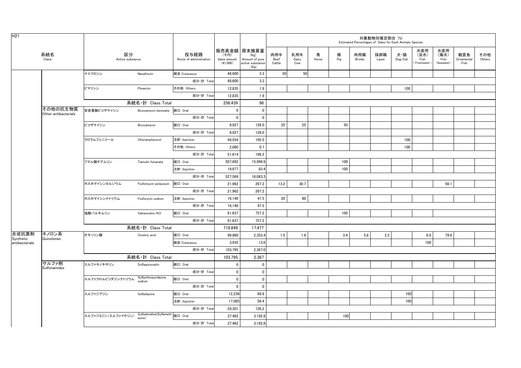| H <sub>21</sub>    |                                  |                        |                                           |                                 |                                    |                                                                   |                       |                     |            |          |                       | 対象動物別推定割合 (%) | Estimated Percentages of Sales for Each Animals Species |                                   |                                   |                           |               |
|--------------------|----------------------------------|------------------------|-------------------------------------------|---------------------------------|------------------------------------|-------------------------------------------------------------------|-----------------------|---------------------|------------|----------|-----------------------|---------------|---------------------------------------------------------|-----------------------------------|-----------------------------------|---------------------------|---------------|
|                    | 系統名<br>Class                     | 区分<br>Active substance |                                           | 投与経路<br>Route of administration | (千円)<br>Sales amount<br>$(*1,000)$ | 販売高金額 原末換算量<br>(Kg)<br>Amount of pure<br>active substance<br>(Kg) | 肉用牛<br>Beef<br>Cattle | 乳用牛<br>Dairy<br>Cow | 馬<br>Horse | 豚<br>Pig | 肉用鶏<br><b>Broiler</b> | 採卵鶏<br>Layer  | 犬・猫<br>Dog/Cat                                          | 水産用<br>(淡水)<br>Fish<br>Freshwater | 水産用<br>(海水)<br>Fish<br>(Seawater) | 観賞魚<br>Ornamental<br>Fish | その他<br>Others |
|                    |                                  | ナナフロシン                 | Nanafrocin                                | 経皮 Cutaneous                    | 48,600                             | 3.3                                                               | 50                    | 50 <sup>1</sup>     |            |          |                       |               |                                                         |                                   |                                   |                           |               |
|                    |                                  |                        |                                           | 成分·計 Total                      | 48.600                             | 3.3                                                               |                       |                     |            |          |                       |               |                                                         |                                   |                                   |                           |               |
|                    |                                  | ピマリシン                  | Pimaricin                                 | その他 Others                      | 12,835                             | 1.9                                                               |                       |                     |            |          |                       |               | 100                                                     |                                   |                                   |                           |               |
|                    |                                  |                        |                                           | 成分·計 Total                      | 12,835                             | 1.9                                                               |                       |                     |            |          |                       |               |                                                         |                                   |                                   |                           |               |
|                    |                                  |                        | 系統名·計 Class Total                         |                                 | 256,439                            | 96                                                                |                       |                     |            |          |                       |               |                                                         |                                   |                                   |                           |               |
|                    | その他の抗生物質<br>Other antibacterials | 安息香酸ビコザマイシン            | Bicozamycin benzoate                      | 経口 Oral                         | $\mathbf 0$                        | $\mathbf 0$                                                       |                       |                     |            |          |                       |               |                                                         |                                   |                                   |                           |               |
|                    |                                  |                        |                                           | 成分·計 Total                      | $\mathbf 0$                        | $\mathbf 0$                                                       |                       |                     |            |          |                       |               |                                                         |                                   |                                   |                           |               |
|                    |                                  | ビコザマイシン                | Bicozamycin                               | 経口 Oral                         | 9,927                              | 126.0                                                             | 25                    | 25                  |            | 50       |                       |               |                                                         |                                   |                                   |                           |               |
|                    |                                  |                        |                                           | 成分·計 Total                      | 9,927                              | 126.0                                                             |                       |                     |            |          |                       |               |                                                         |                                   |                                   |                           |               |
|                    |                                  | クロラムフェニコール             | Chloramphenicol                           | 注射 Injection                    | 49,554                             | 195.5                                                             |                       |                     |            |          |                       |               | 100                                                     |                                   |                                   |                           |               |
|                    |                                  |                        |                                           | その他 Others                      | 2.060                              | 0.7                                                               |                       |                     |            |          |                       |               | 100                                                     |                                   |                                   |                           |               |
|                    |                                  |                        |                                           | 成分·計 Total                      | 51,614                             | 196.2                                                             |                       |                     |            |          |                       |               |                                                         |                                   |                                   |                           |               |
|                    |                                  | フマル酸チアムリン              | Tiamulin fumarate                         | 経口 Oral                         | 507,692                            | 15,999.9                                                          |                       |                     |            | 100      |                       |               |                                                         |                                   |                                   |                           |               |
|                    |                                  |                        |                                           | 注射 Injection                    | 19,877                             | 83.4                                                              |                       |                     |            | 100      |                       |               |                                                         |                                   |                                   |                           |               |
|                    |                                  |                        |                                           | 成分·計 Total                      | 527,569                            | 16,083.3                                                          |                       |                     |            |          |                       |               |                                                         |                                   |                                   |                           |               |
|                    |                                  | ホスホマイシンカルシウム           | Fosfomycin potassium                      | 経口 Oral                         | 21.962                             | 267.2                                                             | 13.2                  | 30.7                |            |          |                       |               |                                                         |                                   | 56.1                              |                           |               |
|                    |                                  |                        |                                           | 成分·計 Total                      | 21,962                             | 267.2                                                             |                       |                     |            |          |                       |               |                                                         |                                   |                                   |                           |               |
|                    |                                  | ホスホマイシンナトリウム           | Fosforycin sodium                         | 注射 Injection                    | 16,140                             | 47.5                                                              | 20                    | 80                  |            |          |                       |               |                                                         |                                   |                                   |                           |               |
|                    |                                  |                        |                                           | 成分·計 Total                      | 16,140                             | 47.5                                                              |                       |                     |            |          |                       |               |                                                         |                                   |                                   |                           |               |
|                    |                                  | 塩酸バルネムリン               | Valnemuline HCI                           | 経口 Oral                         | 91,637                             | 757.2                                                             |                       |                     |            | 100      |                       |               |                                                         |                                   |                                   |                           |               |
|                    |                                  |                        |                                           | 成分·計 Total                      | 91,637                             | 757.2                                                             |                       |                     |            |          |                       |               |                                                         |                                   |                                   |                           |               |
|                    |                                  |                        | 系統名·計 Class Total                         |                                 | 718,849                            | 17,477                                                            |                       |                     |            |          |                       |               |                                                         |                                   |                                   |                           |               |
| 合成抗菌剤<br>Synthetic | キノロン系<br>Quinolones              | オキソリン酸                 | Oxolinic acid                             | 経口 Oral                         | 99,860                             | 2,353.4                                                           | 1.0                   | 1.9                 |            | 3.4      | 5.8                   | 2.3           |                                                         | 6.0                               | 79.6                              |                           |               |
| antibacterials     |                                  |                        |                                           | 経皮 Cutaneous                    | 3,935                              | 13.6                                                              |                       |                     |            |          |                       |               |                                                         | 100                               |                                   |                           |               |
|                    |                                  |                        |                                           | 成分·計 Total                      | 103,795                            | 2,367.0                                                           |                       |                     |            |          |                       |               |                                                         |                                   |                                   |                           |               |
|                    |                                  |                        | 系統名·計 Class Total                         |                                 | 103,795                            | 2,367                                                             |                       |                     |            |          |                       |               |                                                         |                                   |                                   |                           |               |
|                    | サルファ剤<br>Sulfonamides            | スルファキノキサリン             | Sulfaquinoxalin                           | 経口 Oral                         | $\mathbf 0$                        | $\mathbf 0$                                                       |                       |                     |            |          |                       |               |                                                         |                                   |                                   |                           |               |
|                    |                                  |                        |                                           | 成分·計 Total                      | $\mathbf 0$                        | $\pmb{0}$                                                         |                       |                     |            |          |                       |               |                                                         |                                   |                                   |                           |               |
|                    |                                  | スルファクロルピリダジンナトリウム      | Sulfachlorpyridazine<br>sodium            | 経口 Oral                         | $\mathbf 0$                        | $\pmb{0}$                                                         |                       |                     |            |          |                       |               |                                                         |                                   |                                   |                           |               |
|                    |                                  |                        |                                           | 成分·計 Total                      | $\mathbf 0$                        | $\mathbf 0$                                                       |                       |                     |            |          |                       |               |                                                         |                                   |                                   |                           |               |
|                    |                                  | スルファジアジン               | Sulfadiazine                              | 経口 Oral                         | 12,236                             | 69.8                                                              |                       |                     |            |          |                       |               | 100                                                     |                                   |                                   |                           |               |
|                    |                                  |                        |                                           | 注射 Injection                    | 17,065                             | 56.4                                                              |                       |                     |            |          |                       |               | 100                                                     |                                   |                                   |                           |               |
|                    |                                  |                        |                                           | 成分·計 Total                      | 29,301                             | 126.2                                                             |                       |                     |            |          |                       |               |                                                         |                                   |                                   |                           |               |
|                    |                                  | スルファジミジン (スルファメサジン)    | Sulfadimidine(Sulfameth 経口 Oral<br>azine) |                                 | 37,462                             | 3,192.8                                                           |                       |                     |            | 100      |                       |               |                                                         |                                   |                                   |                           |               |
|                    |                                  |                        |                                           | 成分·計 Total                      | 37,462                             | 3,192.8                                                           |                       |                     |            |          |                       |               |                                                         |                                   |                                   |                           |               |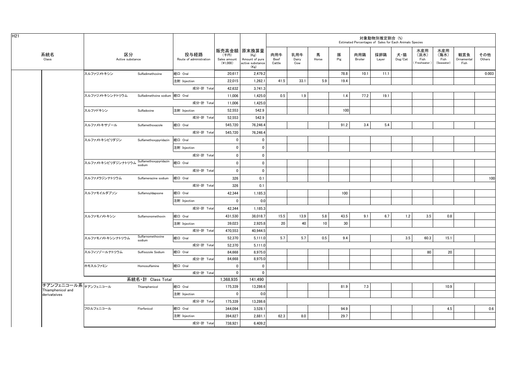|                                           |                        |                                 |                                 |                                  |                                                                   |                       |                     |            |          |                | 対象動物別推定割合 (%) | Estimated Percentages of Sales for Each Animals Species |                                   |                                   |                           |               |
|-------------------------------------------|------------------------|---------------------------------|---------------------------------|----------------------------------|-------------------------------------------------------------------|-----------------------|---------------------|------------|----------|----------------|---------------|---------------------------------------------------------|-----------------------------------|-----------------------------------|---------------------------|---------------|
| 系統名<br>Class                              | 区分<br>Active substance |                                 | 投与経路<br>Route of administration | (千円)<br>Sales amount<br>(41,000) | 販売高金額 原末換算量<br>(Kg)<br>Amount of pure<br>active substance<br>(Kg) | 肉用牛<br>Beef<br>Cattle | 乳用牛<br>Dairy<br>Cow | 馬<br>Horse | 豚<br>Pig | 肉用鶏<br>Broiler | 採卵鶏<br>Layer  | 犬・猫<br>$\mathsf{Dog}/\mathsf{Cat}$                      | 水産用<br>(淡水)<br>Fish<br>Freshwater | 水産用<br>(海水)<br>Fish<br>(Seawater) | 観賞魚<br>Ornamental<br>Fish | その他<br>Others |
|                                           | スルファジメトキシン             | Sulfadimethoxine                | 経口 Oral                         | 20,617                           | 2,479.2                                                           |                       |                     |            | 78.8     | 10.1           | 11.1          |                                                         |                                   |                                   |                           | 0.003         |
|                                           |                        |                                 | 注射 Injection                    | 22,015                           | 1,262.1                                                           | 41.5                  | 33.1                | 5.9        | 19.4     |                |               |                                                         |                                   |                                   |                           |               |
|                                           |                        |                                 | 成分·計 Total                      | 42,632                           | 3,741.3                                                           |                       |                     |            |          |                |               |                                                         |                                   |                                   |                           |               |
|                                           | スルファジメトキシンナトリウム        | Sulfadimethxine sodium 経口 Oral  |                                 | 11,006                           | 1,425.0                                                           | 0.5                   | 1.9                 |            | 1.4      | 77.2           | 19.1          |                                                         |                                   |                                   |                           |               |
|                                           |                        |                                 | 成分·計 Total                      | 11,006                           | 1,425.0                                                           |                       |                     |            |          |                |               |                                                         |                                   |                                   |                           |               |
|                                           | スルファドキシン               | Sulfadoxine                     | 注射 Injection                    | 52,553                           | 542.9                                                             |                       |                     |            | 100      |                |               |                                                         |                                   |                                   |                           |               |
|                                           |                        |                                 | 成分·計 Total                      | 52,553                           | 542.9                                                             |                       |                     |            |          |                |               |                                                         |                                   |                                   |                           |               |
|                                           | スルファメトキサゾール            | Sulfamethoxazole                | 経口 Oral                         | 545,720                          | 76,246.4                                                          |                       |                     |            | 91.2     | 3.4            | 5.4           |                                                         |                                   |                                   |                           |               |
|                                           |                        |                                 | 成分·計 Total                      | 545,720                          | 76,246.4                                                          |                       |                     |            |          |                |               |                                                         |                                   |                                   |                           |               |
|                                           | スルファメトキシピリダジン          | Sulfamethoxypyridazin           | 経口 Oral                         | $\mathbf{0}$                     | 0                                                                 |                       |                     |            |          |                |               |                                                         |                                   |                                   |                           |               |
|                                           |                        |                                 | 注射 Injection                    | $\mathbf 0$                      | 0                                                                 |                       |                     |            |          |                |               |                                                         |                                   |                                   |                           |               |
|                                           |                        |                                 | 成分·計 Total                      | $\mathbf 0$                      | $\mathbf 0$                                                       |                       |                     |            |          |                |               |                                                         |                                   |                                   |                           |               |
|                                           | スルファメトキシピリダジンナトリウム     | Sulfamethoxypyridazin<br>sodium | 経口 Oral                         | $\mathbf{0}$                     | $\mathbf{0}$                                                      |                       |                     |            |          |                |               |                                                         |                                   |                                   |                           |               |
|                                           |                        |                                 | 成分·計 Total                      | 0                                | 0                                                                 |                       |                     |            |          |                |               |                                                         |                                   |                                   |                           |               |
|                                           | スルファメラジンナトリウム          | Sulfamerazine sodium            | 経口 Oral                         | 326                              | 0.1                                                               |                       |                     |            |          |                |               |                                                         |                                   |                                   |                           | 100           |
|                                           |                        |                                 | 成分·計 Total                      | 326                              | 0.1                                                               |                       |                     |            |          |                |               |                                                         |                                   |                                   |                           |               |
|                                           | スルファモイルダプソン            | Sulfamoyldapsone                | 経口 Oral                         | 42,344                           | 1,185.3                                                           |                       |                     |            | 100      |                |               |                                                         |                                   |                                   |                           |               |
|                                           |                        |                                 | 注射 Injection                    | $\mathbf 0$                      | 0.0                                                               |                       |                     |            |          |                |               |                                                         |                                   |                                   |                           |               |
|                                           |                        |                                 | 成分·計 Total                      | 42,344                           | 1,185.3                                                           |                       |                     |            |          |                |               |                                                         |                                   |                                   |                           |               |
|                                           | スルファモノメトキシン            | Sulfamonomethoxin               | 経口 Oral                         | 431,530                          | 38,018.7                                                          | 15.5                  | 13.9                | 5.8        | 43.5     | 9.1            | 6.7           | 1.2                                                     | 3.5                               | 0.8                               |                           |               |
|                                           |                        |                                 | 注射 Injection                    | 39,023                           | 2,925.8                                                           | 20                    | 40                  | 10         | 30       |                |               |                                                         |                                   |                                   |                           |               |
|                                           |                        |                                 | 成分·計 Total                      | 470,553                          | 40,944.5                                                          |                       |                     |            |          |                |               |                                                         |                                   |                                   |                           |               |
|                                           | スルファモノメトキシンナトリウム       | Sulfarnomethoxine<br>sodium     | 経口 Oral                         | 52.370                           | 5.111.0                                                           | 5.7                   | 5.7                 | 0.5        | 9.4      |                |               | 3.5                                                     | 60.3                              | 15.1                              |                           |               |
|                                           |                        |                                 | 成分·計 Total                      | 52,370                           | 5,111.0                                                           |                       |                     |            |          |                |               |                                                         |                                   |                                   |                           |               |
|                                           | スルフィソゾールナトリウム          | Sulfisozole Sodium              | 経口 Oral                         | 84,668                           | 8,975.0                                                           |                       |                     |            |          |                |               |                                                         | 80                                | 20                                |                           |               |
|                                           |                        |                                 | 成分·計 Total                      | 84,668                           | 8,975.0                                                           |                       |                     |            |          |                |               |                                                         |                                   |                                   |                           |               |
|                                           | ホモスルファミン               | Homosulfamine                   | 経口 Oral                         | $\mathbf{0}$                     | $\mathbf 0$                                                       |                       |                     |            |          |                |               |                                                         |                                   |                                   |                           |               |
|                                           |                        |                                 | 成分·計 Total                      | $\Omega$                         | $\mathbf 0$                                                       |                       |                     |            |          |                |               |                                                         |                                   |                                   |                           |               |
|                                           |                        | 系統名·計 Class Total               |                                 | 1,368,935                        | 141,490                                                           |                       |                     |            |          |                |               |                                                         |                                   |                                   |                           |               |
| チアンフェニコール系 チアンフェニコール<br>Thiamphenicol and |                        | Thiamphenicol                   | 経口 Oral                         | 175.339                          | 13.286.6                                                          |                       |                     |            | 81.9     | 7.3            |               |                                                         |                                   | 10.9                              |                           |               |
| derivateives                              |                        |                                 | 注射 Injection                    | $\mathbf 0$                      | 0.0                                                               |                       |                     |            |          |                |               |                                                         |                                   |                                   |                           |               |
|                                           |                        |                                 | 成分·計 Total                      | 175,339                          | 13,286.6                                                          |                       |                     |            |          |                |               |                                                         |                                   |                                   |                           |               |
|                                           | フロルフェニコール              | Florfenicol                     | 経口 Oral                         | 344,094                          | 3,528.1                                                           |                       |                     |            | 94.9     |                |               |                                                         |                                   | 4.5                               |                           | 0.6           |
|                                           |                        |                                 | 注射 Injection                    | 394,827                          | 2,881.1                                                           | 62.3                  | 8.0                 |            | 29.7     |                |               |                                                         |                                   |                                   |                           |               |
|                                           |                        |                                 | 成分·計 Total                      | 738,921                          | 6,409.2                                                           |                       |                     |            |          |                |               |                                                         |                                   |                                   |                           |               |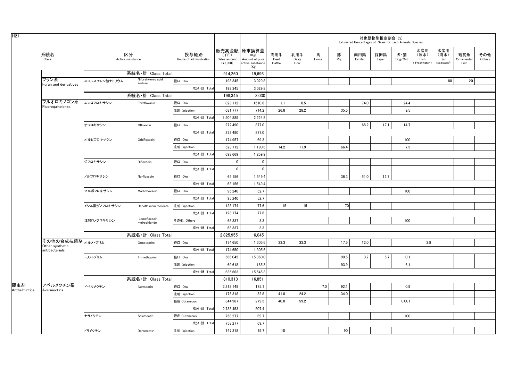| H <sub>21</sub> |                                   |               |                              |                                 |                                    |                                                                   |                       |                     |            |          |                | 対象動物別推定割合 (%)<br>Estimated Percentages of Sales for Each Animals Species |                                    |                                    |                                   |                           |               |
|-----------------|-----------------------------------|---------------|------------------------------|---------------------------------|------------------------------------|-------------------------------------------------------------------|-----------------------|---------------------|------------|----------|----------------|--------------------------------------------------------------------------|------------------------------------|------------------------------------|-----------------------------------|---------------------------|---------------|
|                 | 系統名<br>Class                      |               | 区分<br>Active substance       | 投与経路<br>Route of administration | (千円)<br>Sales amount<br>$(*1,000)$ | 販売高金額 原末換算量<br>(Kg)<br>Amount of pure<br>active substance<br>(Kg) | 肉用牛<br>Beef<br>Cattle | 乳用牛<br>Dairy<br>Cow | 馬<br>Horse | 豚<br>Pig | 肉用鶏<br>Broiler | 採卵鶏<br>Layer                                                             | 犬・猫<br>$\mathsf{Dog}/\mathsf{Cat}$ | 水産用<br>(淡水)<br>Fish<br>Freshwater) | 水産用<br>(海水)<br>Fish<br>(Seawater) | 観賞魚<br>Ornamental<br>Fish | その他<br>Others |
|                 |                                   |               | 系統名·計 Class Total            |                                 | 914,260                            | 19,696                                                            |                       |                     |            |          |                |                                                                          |                                    |                                    |                                   |                           |               |
|                 | フラン系<br>Furan and derivatives     | ニフルスチレン酸ナトリウム | Nifurstyrenic acid<br>sodium | 経口 Oral                         | 198,345                            | 3,029.8                                                           |                       |                     |            |          |                |                                                                          |                                    |                                    | 80                                | 20                        |               |
|                 |                                   |               |                              | 成分·計 Total                      | 198,345                            | 3,029.8                                                           |                       |                     |            |          |                |                                                                          |                                    |                                    |                                   |                           |               |
|                 |                                   |               | 系統名·計 Class Total            |                                 | 198,345                            | 3,030                                                             |                       |                     |            |          |                |                                                                          |                                    |                                    |                                   |                           |               |
|                 | フルオロキノロン系<br>Fluoroquinolones     | エンロフロキサシン     | Enrofloxacin                 | 経口 Oral                         | 823,112                            | 1510.6                                                            | 1.1                   | 0.5                 |            |          | 74.0           |                                                                          | 24.4                               |                                    |                                   |                           |               |
|                 |                                   |               |                              | 注射 Injection                    | 681,777                            | 714.2                                                             | 26.8                  | 28.2                |            | 35.5     |                |                                                                          | 9.5                                |                                    |                                   |                           |               |
|                 |                                   |               |                              | 成分·計 Total                      | 1,504,889                          | 2,224.8                                                           |                       |                     |            |          |                |                                                                          |                                    |                                    |                                   |                           |               |
|                 |                                   | オフロキサシン       | Ofloxacin                    | 経口 Oral                         | 272,490                            | 877.0                                                             |                       |                     |            |          | 68.2           | 17.1                                                                     | 14.7                               |                                    |                                   |                           |               |
|                 |                                   |               |                              | 成分·計 Total                      | 272,490                            | 877.0                                                             |                       |                     |            |          |                |                                                                          |                                    |                                    |                                   |                           |               |
|                 |                                   | オルビフロキサシン     | Orbifloxacin                 | 経口 Oral                         | 174,957                            | 69.3                                                              |                       |                     |            |          |                |                                                                          | 100                                |                                    |                                   |                           |               |
|                 |                                   |               |                              | 注射 Injection                    | 523,712                            | 1,190.6                                                           | 14.2                  | 11.9                |            | 66.4     |                |                                                                          | 7.5                                |                                    |                                   |                           |               |
|                 |                                   |               |                              | 成分·計 Total                      | 698,669                            | 1,259.9                                                           |                       |                     |            |          |                |                                                                          |                                    |                                    |                                   |                           |               |
|                 |                                   | ジフロキサシン       | Difloxacin                   | 経口 Oral                         | $\mathbf 0$                        | $\pmb{0}$                                                         |                       |                     |            |          |                |                                                                          |                                    |                                    |                                   |                           |               |
|                 |                                   |               |                              | 成分·計 Total                      | $\mathbf{0}$                       | $\mathbf{0}$                                                      |                       |                     |            |          |                |                                                                          |                                    |                                    |                                   |                           |               |
|                 |                                   | ノルフロキサシン      | Norfloxacin                  | 経口 Oral                         | 63,156                             | 1,549.4                                                           |                       |                     |            | 36.3     | 51.0           | 12.7                                                                     |                                    |                                    |                                   |                           |               |
|                 |                                   |               |                              | 成分·計 Total                      | 63,156                             | 1,549.4                                                           |                       |                     |            |          |                |                                                                          |                                    |                                    |                                   |                           |               |
|                 |                                   | マルボフロキサシン     | Marbofloxacin                | 経口 Oral                         | 95,240                             | 52.7                                                              |                       |                     |            |          |                |                                                                          | 100                                |                                    |                                   |                           |               |
|                 |                                   |               |                              | 成分·計 Total                      | 95,240                             | 52.7                                                              |                       |                     |            |          |                |                                                                          |                                    |                                    |                                   |                           |               |
|                 |                                   | メシル酸ダノフロキサシン  | Danofloxacin mesilate        | 注射 Injection                    | 123,174                            | 77.6                                                              | 15                    | 15                  |            | 70       |                |                                                                          |                                    |                                    |                                   |                           |               |
|                 |                                   |               |                              | 成分·計 Total                      | 123,174                            | 77.6                                                              |                       |                     |            |          |                |                                                                          |                                    |                                    |                                   |                           |               |
|                 |                                   | 塩酸ロメフロキサシン    | Lomefloxacin                 | その他 Others                      | 68.337                             | 3.3                                                               |                       |                     |            |          |                |                                                                          | 100                                |                                    |                                   |                           |               |
|                 |                                   |               | hydrochloride                | 成分·計 Total                      | 68,337                             | 3.3                                                               |                       |                     |            |          |                |                                                                          |                                    |                                    |                                   |                           |               |
|                 |                                   |               | 系統名·計 Class Total            |                                 | 2,825,955                          | 6,045                                                             |                       |                     |            |          |                |                                                                          |                                    |                                    |                                   |                           |               |
|                 | その他の合成抗菌剤オルメトプリム                  |               | Ormetoprim                   | 経口 Oral                         | 174,650                            | 1,305.6                                                           | 33.3                  | 33.3                |            | 17.5     | 12.0           |                                                                          |                                    | 3.8                                |                                   |                           |               |
|                 | Other synthetic<br>antibacterials |               |                              | 成分·計 Total                      | 174,650                            | 1,305.6                                                           |                       |                     |            |          |                |                                                                          |                                    |                                    |                                   |                           |               |
|                 |                                   | トリメトプリム       | Trimethoprim                 | 経口 Oral                         | 566,045                            | 15,360.0                                                          |                       |                     |            | 90.5     | 3.7            | 5.7                                                                      | 0.1                                |                                    |                                   |                           |               |
|                 |                                   |               |                              | 注射 Injection                    | 69,618                             | 185.3                                                             |                       |                     |            | 93.9     |                |                                                                          | 6.1                                |                                    |                                   |                           |               |
|                 |                                   |               |                              | 成分·計 Total                      | 635,663                            | 15,545.3                                                          |                       |                     |            |          |                |                                                                          |                                    |                                    |                                   |                           |               |
|                 |                                   |               | 系統名·計 Class Total            |                                 | 810,313                            | 16,851                                                            |                       |                     |            |          |                |                                                                          |                                    |                                    |                                   |                           |               |
| 駆虫剤             | アベルメクチン系                          | イベルメクチン       | Ivermectin                   | 経口 Oral                         | 2.218.148                          | 175.1                                                             |                       |                     | 7.0        | 92.1     |                |                                                                          | 0.9                                |                                    |                                   |                           |               |
| Anthelmintics   | Avermectins                       |               |                              | 注射 Injection                    | 175,318                            | 52.8                                                              | 41.8                  | 24.2                |            | 34.0     |                |                                                                          |                                    |                                    |                                   |                           |               |
|                 |                                   |               |                              | 経皮 Cutaneous                    | 344,987                            | 279.5                                                             | 40.8                  | 59.2                |            |          |                |                                                                          | 0.001                              |                                    |                                   |                           |               |
|                 |                                   |               |                              | 成分·計 Total                      | 2,738,453                          | 507.4                                                             |                       |                     |            |          |                |                                                                          |                                    |                                    |                                   |                           |               |
|                 |                                   | セラメクチン        | Selamectin                   | 経皮 Cutaneous                    | 758,277                            | 69.7                                                              |                       |                     |            |          |                |                                                                          | 100                                |                                    |                                   |                           |               |
|                 |                                   |               |                              | 成分·計 Total                      | 758,277                            | 69.7                                                              |                       |                     |            |          |                |                                                                          |                                    |                                    |                                   |                           |               |
|                 |                                   | ドラメクチン        | Doramectin                   | 注射 Injection                    | 147.318                            | 19.7                                                              | 10                    |                     |            | 90       |                |                                                                          |                                    |                                    |                                   |                           |               |
|                 |                                   |               |                              |                                 |                                    |                                                                   |                       |                     |            |          |                |                                                                          |                                    |                                    |                                   |                           |               |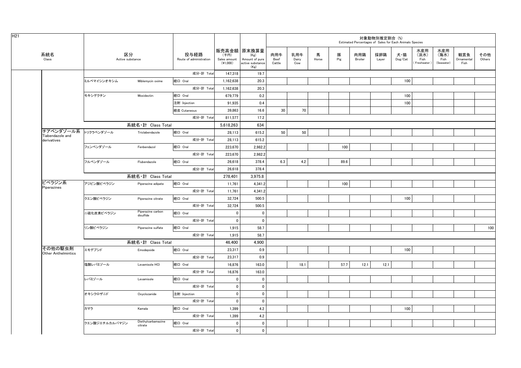| H <sub>21</sub>               |                        |                                |                                 |                                    |                                                                   |                       |                     |            |          |                | 対象動物別推定割合 (%) | Estimated Percentages of Sales for Each Animals Species |                                   |                                   |                           |               |
|-------------------------------|------------------------|--------------------------------|---------------------------------|------------------------------------|-------------------------------------------------------------------|-----------------------|---------------------|------------|----------|----------------|---------------|---------------------------------------------------------|-----------------------------------|-----------------------------------|---------------------------|---------------|
| 系統名<br>Class                  | 区分<br>Active substance |                                | 投与経路<br>Route of administration | (千円)<br>Sales amount<br>$(*1,000)$ | 販売高金額 原末換算量<br>(Kg)<br>Amount of pure<br>active substance<br>(Kg) | 肉用牛<br>Beef<br>Cattle | 乳用牛<br>Dairy<br>Cow | 馬<br>Horse | 豚<br>Pig | 肉用鶏<br>Broiler | 採卵鶏<br>Layer  | 犬・猫<br>$\mathsf{Dog}/\mathsf{Cat}$                      | 水産用<br>(淡水)<br>Fish<br>Freshwater | 水産用<br>(海水)<br>Fish<br>(Seawater) | 観賞魚<br>Ornamental<br>Fish | その他<br>Others |
|                               |                        |                                | 成分·計 Total                      | 147,318                            | 19.7                                                              |                       |                     |            |          |                |               |                                                         |                                   |                                   |                           |               |
|                               | ミルベマイシンオキシム            | Miblemycin oxime               | 経口 Oral                         | 1,162,638                          | 20.3                                                              |                       |                     |            |          |                |               | 100                                                     |                                   |                                   |                           |               |
|                               |                        |                                | 成分·計 Total                      | 1,162,638                          | 20.3                                                              |                       |                     |            |          |                |               |                                                         |                                   |                                   |                           |               |
|                               | モキシデクチン                | Moxidectin                     | 経口 Oral                         | 679,779                            | 0.2                                                               |                       |                     |            |          |                |               | 100                                                     |                                   |                                   |                           |               |
|                               |                        |                                | 注射 Injection                    | 91,935                             | 0.4                                                               |                       |                     |            |          |                |               | 100                                                     |                                   |                                   |                           |               |
|                               |                        |                                | 経皮 Cutaneous                    | 39,863                             | 16.6                                                              | 30                    | 70                  |            |          |                |               |                                                         |                                   |                                   |                           |               |
|                               |                        |                                | 成分·計 Total                      | 811,577                            | 17.2                                                              |                       |                     |            |          |                |               |                                                         |                                   |                                   |                           |               |
|                               |                        | 系統名·計 Class Total              |                                 | 5,618,263                          | 634                                                               |                       |                     |            |          |                |               |                                                         |                                   |                                   |                           |               |
| チアベンダゾール系<br>Tiabendazole and | トリクラベンダゾール             | Triclabendazole                | 経口 Oral                         | 28,113                             | 615.2                                                             | 50                    | 50                  |            |          |                |               |                                                         |                                   |                                   |                           |               |
| derivatives                   |                        |                                | 成分·計 Total                      | 28,113                             | 615.2                                                             |                       |                     |            |          |                |               |                                                         |                                   |                                   |                           |               |
|                               | フェンベンダゾール              | Fenbendazol                    | 経口 Oral                         | 223.670                            | 2.982.2                                                           |                       |                     |            | 100      |                |               |                                                         |                                   |                                   |                           |               |
|                               |                        |                                | 成分·計 Total                      | 223,670                            | 2,982.2                                                           |                       |                     |            |          |                |               |                                                         |                                   |                                   |                           |               |
|                               | フルベンダゾール               | Flubendazole                   | 経口 Oral                         | 26,618                             | 378.4                                                             | 6.3                   | 4.2                 |            | 89.6     |                |               |                                                         |                                   |                                   |                           |               |
|                               |                        |                                | 成分·計 Total                      | 26.618                             | 378.4                                                             |                       |                     |            |          |                |               |                                                         |                                   |                                   |                           |               |
|                               |                        | 系統名·計 Class Total              |                                 | 278,401                            | 3,975.8                                                           |                       |                     |            |          |                |               |                                                         |                                   |                                   |                           |               |
| ピペラジン系                        | アジピン酸ピペラジン             | Piperazine adipate             | 経口 Oral                         | 11,761                             | 4,341.2                                                           |                       |                     |            | 100      |                |               |                                                         |                                   |                                   |                           |               |
| Piperazines                   |                        |                                | 成分·計 Total                      | 11,761                             | 4,341.2                                                           |                       |                     |            |          |                |               |                                                         |                                   |                                   |                           |               |
|                               | クエン酸ピペラジン              | Piperazine citrate             | 経口 Oral                         | 32,724                             | 500.5                                                             |                       |                     |            |          |                |               | 100                                                     |                                   |                                   |                           |               |
|                               |                        |                                | 成分·計 Total                      | 32,724                             | 500.5                                                             |                       |                     |            |          |                |               |                                                         |                                   |                                   |                           |               |
|                               | 二硫化炭素ピペラジン             | Piperazine carbon<br>disulfide | 経口 Oral                         | $\mathbf{0}$                       | $\mathbf 0$                                                       |                       |                     |            |          |                |               |                                                         |                                   |                                   |                           |               |
|                               |                        |                                | 成分·計 Total                      | $\mathbf 0$                        | $\mathbf 0$                                                       |                       |                     |            |          |                |               |                                                         |                                   |                                   |                           |               |
|                               | リン酸ピペラジン               | Piperazine sulfate             | 経口 Oral                         | 1,915                              | 58.7                                                              |                       |                     |            |          |                |               |                                                         |                                   |                                   |                           | 100           |
|                               |                        |                                | 成分·計 Total                      | 1,915                              | 58.7                                                              |                       |                     |            |          |                |               |                                                         |                                   |                                   |                           |               |
|                               |                        | 系統名·計 Class Total              |                                 | 46,400                             | 4,900                                                             |                       |                     |            |          |                |               |                                                         |                                   |                                   |                           |               |
| その他の駆虫剤                       | エモデプシド                 | Emodepside                     | 経口 Oral                         | 23,317                             | 0.9                                                               |                       |                     |            |          |                |               | 100                                                     |                                   |                                   |                           |               |
| <b>Other Anthelmintics</b>    |                        |                                | 成分·計 Total                      | 23,317                             | 0.9                                                               |                       |                     |            |          |                |               |                                                         |                                   |                                   |                           |               |
|                               | 塩酸レバミゾール               | Levamisole HCI                 | 経口 Oral                         | 16.876                             | 163.0                                                             |                       | 18.1                |            | 57.7     | 12.1           | 12.1          |                                                         |                                   |                                   |                           |               |
|                               |                        |                                | 成分·計 Total                      | 16,876                             | 163.0                                                             |                       |                     |            |          |                |               |                                                         |                                   |                                   |                           |               |
|                               | レバミゾール                 | Levamisole                     | 経口 Oral                         | $\mathbf 0$                        | $\pmb{0}$                                                         |                       |                     |            |          |                |               |                                                         |                                   |                                   |                           |               |
|                               |                        |                                | 成分·計 Total                      | 0                                  | $\mathbf 0$                                                       |                       |                     |            |          |                |               |                                                         |                                   |                                   |                           |               |
|                               | オキシクロザニド               | Oxyclozanide                   | 注射 Injection                    | $\mathbf 0$                        | $\mathbf 0$                                                       |                       |                     |            |          |                |               |                                                         |                                   |                                   |                           |               |
|                               |                        |                                | 成分·計 Total                      | $\mathbf 0$                        | $\mathbf 0$                                                       |                       |                     |            |          |                |               |                                                         |                                   |                                   |                           |               |
|                               | カマラ                    | Kamala                         | 経口 Oral                         | 1,399                              | 4.2                                                               |                       |                     |            |          |                |               | 100                                                     |                                   |                                   |                           |               |
|                               |                        |                                | 成分·計 Total                      | 1,399                              | 4.2                                                               |                       |                     |            |          |                |               |                                                         |                                   |                                   |                           |               |
|                               | クエン酸ジエチルカルバマジン         | Diethylcarbamazine             | 経口 Oral                         | $\mathbf{0}$                       | $\mathbf 0$                                                       |                       |                     |            |          |                |               |                                                         |                                   |                                   |                           |               |
|                               |                        | citrate                        | 成分·計 Total                      | $\mathbf{0}$                       | $\mathbf{0}$                                                      |                       |                     |            |          |                |               |                                                         |                                   |                                   |                           |               |
|                               |                        |                                |                                 |                                    |                                                                   |                       |                     |            |          |                |               |                                                         |                                   |                                   |                           |               |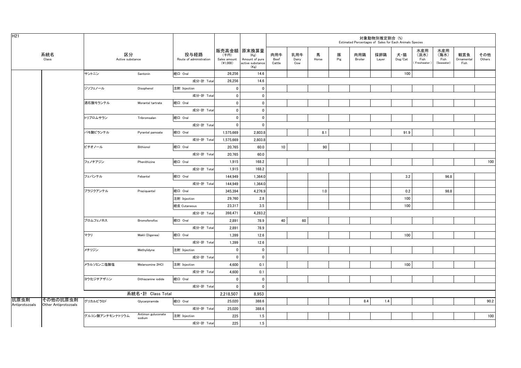| H <sub>21</sub>        |                                  |                        |                              |                                 |                                    |                                                                   |                       |                     |            |          |                | 対象動物別推定割合 (%)<br>Estimated Percentages of Sales for Each Animals Species |                                    |                                   |                                   |                           |               |
|------------------------|----------------------------------|------------------------|------------------------------|---------------------------------|------------------------------------|-------------------------------------------------------------------|-----------------------|---------------------|------------|----------|----------------|--------------------------------------------------------------------------|------------------------------------|-----------------------------------|-----------------------------------|---------------------------|---------------|
|                        | 系統名<br>Class                     | 区分<br>Active substance |                              | 投与経路<br>Route of administration | (千円)<br>Sales amount<br>$(*1,000)$ | 販売高金額 原末換算量<br>(Kg)<br>Amount of pure<br>active substance<br>(Kg) | 肉用牛<br>Beef<br>Cattle | 乳用牛<br>Dairy<br>Cow | 馬<br>Horse | 豚<br>Pig | 肉用鶏<br>Broiler | 採卵鶏<br>Layer                                                             | 犬・猫<br>$\mathsf{Dog}/\mathsf{Cat}$ | 水産用<br>(淡水)<br>Fish<br>Freshwater | 水産用<br>(海水)<br>Fish<br>(Seawater) | 観賞魚<br>Ornamental<br>Fish | その他<br>Others |
|                        |                                  | サントニン                  | Santonin                     | 経口 Oral                         | 26,256                             | 14.6                                                              |                       |                     |            |          |                |                                                                          | 100                                |                                   |                                   |                           |               |
|                        |                                  |                        |                              | 成分·計 Total                      | 26,256                             | 14.6                                                              |                       |                     |            |          |                |                                                                          |                                    |                                   |                                   |                           |               |
|                        |                                  | ジソフェノール                | Disophenol                   | 注射 Injection                    | $\pmb{0}$                          | $\mathbf 0$                                                       |                       |                     |            |          |                |                                                                          |                                    |                                   |                                   |                           |               |
|                        |                                  |                        |                              | 成分·計 Total                      | $\mathbf 0$                        | $\mathbf 0$                                                       |                       |                     |            |          |                |                                                                          |                                    |                                   |                                   |                           |               |
|                        |                                  | 酒石酸モランテル               | Morantel tartrate            | 経口 Oral                         | $\pmb{0}$                          | $\mathbf 0$                                                       |                       |                     |            |          |                |                                                                          |                                    |                                   |                                   |                           |               |
|                        |                                  |                        |                              | 成分·計 Total                      | $\mathbf 0$                        | $\mathbf 0$                                                       |                       |                     |            |          |                |                                                                          |                                    |                                   |                                   |                           |               |
|                        |                                  | トリブロムサラン               | Tribromsalan                 | 経口 Oral                         | $\mathbf 0$                        | $\mathbf 0$                                                       |                       |                     |            |          |                |                                                                          |                                    |                                   |                                   |                           |               |
|                        |                                  |                        |                              | 成分·計 Total                      | $\mathbf 0$                        | $\mathbf 0$                                                       |                       |                     |            |          |                |                                                                          |                                    |                                   |                                   |                           |               |
|                        |                                  | パモ酸ピランテル               | Pyrantel pamoate             | 経口 Oral                         | 1,575,669                          | 2,803.8                                                           |                       |                     | 8.1        |          |                |                                                                          | 91.9                               |                                   |                                   |                           |               |
|                        |                                  |                        |                              | 成分·計 Total                      | 1,575,669                          | 2.803.8                                                           |                       |                     |            |          |                |                                                                          |                                    |                                   |                                   |                           |               |
|                        |                                  | ビチオノール                 | Bithionol                    | 経口 Oral                         | 20,765                             | 60.0                                                              | $10\,$                |                     | 90         |          |                |                                                                          |                                    |                                   |                                   |                           |               |
|                        |                                  |                        |                              | 成分·計 Total                      | 20,765                             | 60.0                                                              |                       |                     |            |          |                |                                                                          |                                    |                                   |                                   |                           |               |
|                        |                                  | フェノチアジン                | Phenithizine                 | 経口 Oral                         | 1.915                              | 168.2                                                             |                       |                     |            |          |                |                                                                          |                                    |                                   |                                   |                           | 100           |
|                        |                                  |                        |                              | 成分·計 Total                      | 1,915                              | 168.2                                                             |                       |                     |            |          |                |                                                                          |                                    |                                   |                                   |                           |               |
|                        |                                  | フェバンテル                 | Febantel                     | 経口 Oral                         | 144,949                            | 1,364.0                                                           |                       |                     |            |          |                |                                                                          | 3.2                                |                                   | 96.8                              |                           |               |
|                        |                                  |                        |                              | 成分·計 Total                      | 144,949                            | 1,364.0                                                           |                       |                     |            |          |                |                                                                          |                                    |                                   |                                   |                           |               |
|                        |                                  | プラジクアンテル               | Praziquantel                 | 経口 Oral                         | 345,394                            | 4,276.9                                                           |                       |                     | 1.0        |          |                |                                                                          | 0.2                                |                                   | 98.8                              |                           |               |
|                        |                                  |                        |                              | 注射 Injection                    | 29,760                             | 2.8                                                               |                       |                     |            |          |                |                                                                          | 100                                |                                   |                                   |                           |               |
|                        |                                  |                        |                              | 経皮 Cutaneous                    | 23,317                             | 3.5                                                               |                       |                     |            |          |                |                                                                          | 100                                |                                   |                                   |                           |               |
|                        |                                  |                        |                              | 成分·計 Total                      | 398,471                            | 4,283.2                                                           |                       |                     |            |          |                |                                                                          |                                    |                                   |                                   |                           |               |
|                        |                                  | ブロムフェノホス               | Bromofenofos                 | 経口 Oral                         | 2,891                              | 78.9                                                              | 40                    | 60                  |            |          |                |                                                                          |                                    |                                   |                                   |                           |               |
|                        |                                  |                        |                              | 成分·計 Total                      | 2,891                              | 78.9                                                              |                       |                     |            |          |                |                                                                          |                                    |                                   |                                   |                           |               |
|                        |                                  | マクリ                    | Makli (Digenea)              | 経口 Oral                         | 1,399                              | 12.6                                                              |                       |                     |            |          |                |                                                                          | 100                                |                                   |                                   |                           |               |
|                        |                                  |                        |                              | 成分·計 Total                      | 1,399                              | 12.6                                                              |                       |                     |            |          |                |                                                                          |                                    |                                   |                                   |                           |               |
|                        |                                  | メチリジン                  | Methylidyne                  | 注射 Injection                    | $\mathbf 0$                        | $\mathbf 0$                                                       |                       |                     |            |          |                |                                                                          |                                    |                                   |                                   |                           |               |
|                        |                                  |                        |                              | 成分·計 Total                      | $\mathbf 0$                        | $\mathbf 0$                                                       |                       |                     |            |          |                |                                                                          |                                    |                                   |                                   |                           |               |
|                        |                                  | メラルソミン二塩酸塩             | Melarsomine 2HCl             | 注射 Injection                    | 4,600                              | 0.1                                                               |                       |                     |            |          |                |                                                                          | 100                                |                                   |                                   |                           |               |
|                        |                                  |                        |                              | 成分·計 Total                      | 4,600                              | 0.1                                                               |                       |                     |            |          |                |                                                                          |                                    |                                   |                                   |                           |               |
|                        |                                  | ヨウ化ジチアザニン              | Dithiazanine iodide          | 経口 Oral                         | $\mathbf 0$                        | $\mathbf 0$                                                       |                       |                     |            |          |                |                                                                          |                                    |                                   |                                   |                           |               |
|                        |                                  |                        |                              | 成分·計 Total                      | $\mathbf 0$                        | $\mathbf 0$                                                       |                       |                     |            |          |                |                                                                          |                                    |                                   |                                   |                           |               |
|                        |                                  |                        | 系統名·計 Class Total            |                                 | 2,218,507                          | 8,953                                                             |                       |                     |            |          |                |                                                                          |                                    |                                   |                                   |                           |               |
| 抗原虫剤<br>Antiprotozoals | その他の抗原虫剤<br>Other Antiprotozoals | グリカルピラミド               | Glycarpiramide               | 経口 Oral                         | 25,020                             | 388.6                                                             |                       |                     |            |          | 8.4            | 1.4                                                                      |                                    |                                   |                                   |                           | 90.2          |
|                        |                                  |                        |                              | 成分·計 Total                      | 25,020                             | 388.6                                                             |                       |                     |            |          |                |                                                                          |                                    |                                   |                                   |                           |               |
|                        |                                  | グルコン酸アンチモンナトリウム        | Antimon guluconate<br>sodium | 注射 Injection                    | 225                                | 1.5                                                               |                       |                     |            |          |                |                                                                          |                                    |                                   |                                   |                           | 100           |
|                        |                                  |                        |                              | 成分·計 Total                      | 225                                | 1.5                                                               |                       |                     |            |          |                |                                                                          |                                    |                                   |                                   |                           |               |